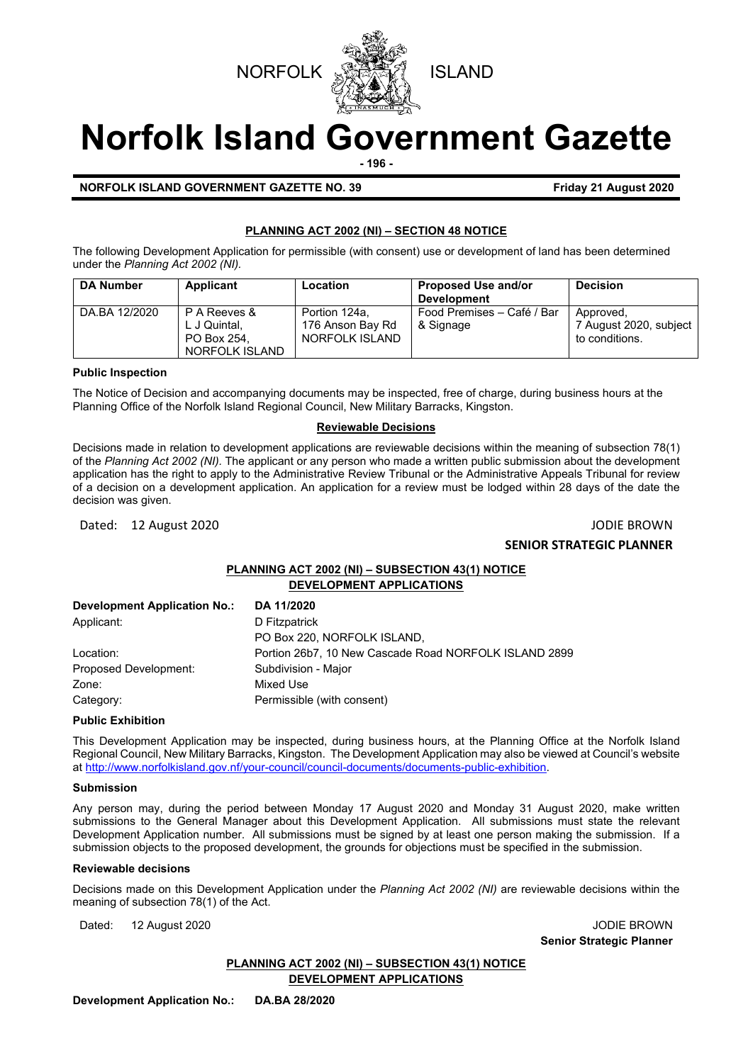



# **Norfolk Island Government Gazette**

**- 196 -**

**NORFOLK ISLAND GOVERNMENT GAZETTE NO. 39 Friday 21 August 2020**

## **PLANNING ACT 2002 (NI) – SECTION 48 NOTICE**

The following Development Application for permissible (with consent) use or development of land has been determined under the *Planning Act 2002 (NI).*

| <b>DA Number</b> | Applicant                                                     | Location                                            | <b>Proposed Use and/or</b><br><b>Development</b> | <b>Decision</b>                                       |
|------------------|---------------------------------------------------------------|-----------------------------------------------------|--------------------------------------------------|-------------------------------------------------------|
| DA.BA 12/2020    | P A Reeves &<br>L J Quintal,<br>PO Box 254.<br>NORFOLK ISLAND | Portion 124a.<br>176 Anson Bay Rd<br>NORFOLK ISLAND | Food Premises - Café / Bar<br>& Signage          | Approved.<br>7 August 2020, subject<br>to conditions. |

## **Public Inspection**

The Notice of Decision and accompanying documents may be inspected, free of charge, during business hours at the Planning Office of the Norfolk Island Regional Council, New Military Barracks, Kingston.

## **Reviewable Decisions**

Decisions made in relation to development applications are reviewable decisions within the meaning of subsection 78(1) of the *Planning Act 2002 (NI).* The applicant or any person who made a written public submission about the development application has the right to apply to the Administrative Review Tribunal or the Administrative Appeals Tribunal for review of a decision on a development application. An application for a review must be lodged within 28 days of the date the decision was given.

## Dated: 12 August 2020 JODIE BROWN

## **SENIOR STRATEGIC PLANNER**

## **PLANNING ACT 2002 (NI) – SUBSECTION 43(1) NOTICE DEVELOPMENT APPLICATIONS**

| <b>Development Application No.:</b> | DA 11/2020                                            |
|-------------------------------------|-------------------------------------------------------|
| Applicant:                          | D Fitzpatrick                                         |
|                                     | PO Box 220, NORFOLK ISLAND,                           |
| Location:                           | Portion 26b7, 10 New Cascade Road NORFOLK ISLAND 2899 |
| Proposed Development:               | Subdivision - Major                                   |
| Zone:                               | Mixed Use                                             |
| Category:                           | Permissible (with consent)                            |

## **Public Exhibition**

This Development Application may be inspected, during business hours, at the Planning Office at the Norfolk Island Regional Council, New Military Barracks, Kingston. The Development Application may also be viewed at Council's website a[t http://www.norfolkisland.gov.nf/your-council/council-documents/documents-public-exhibition.](http://www.norfolkisland.gov.nf/your-council/council-documents/documents-public-exhibition)

## **Submission**

Any person may, during the period between Monday 17 August 2020 and Monday 31 August 2020, make written submissions to the General Manager about this Development Application. All submissions must state the relevant Development Application number. All submissions must be signed by at least one person making the submission. If a submission objects to the proposed development, the grounds for objections must be specified in the submission.

## **Reviewable decisions**

Decisions made on this Development Application under the *Planning Act 2002 (NI)* are reviewable decisions within the meaning of subsection 78(1) of the Act.

Dated: 12 August 2020 JODIE BROWN

**Senior Strategic Planner** 

## **PLANNING ACT 2002 (NI) – SUBSECTION 43(1) NOTICE**

**DEVELOPMENT APPLICATIONS**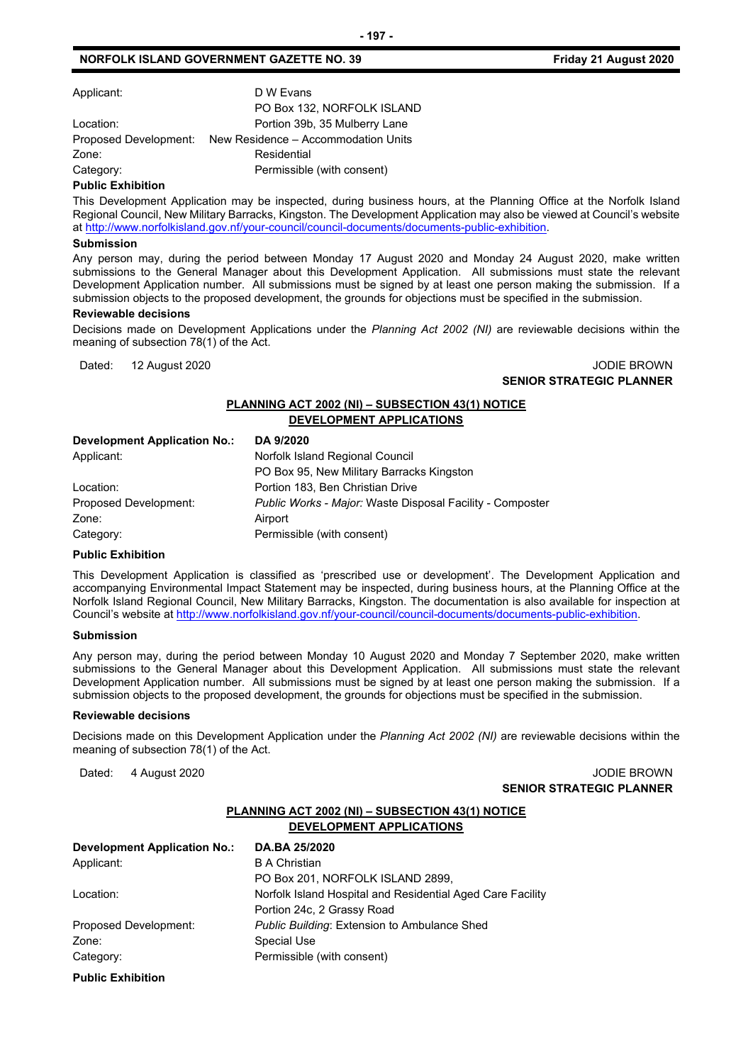## **NORFOLK ISLAND GOVERNMENT GAZETTE NO. 39 <b>Friday 21 August 2020**

Applicant: D W Evans

PO Box 132, NORFOLK ISLAND Location: **Portion 39b, 35 Mulberry Lane** Proposed Development: New Residence – Accommodation Units Zone: Residential Category: Category: Permissible (with consent)

## **Public Exhibition**

This Development Application may be inspected, during business hours, at the Planning Office at the Norfolk Island Regional Council, New Military Barracks, Kingston. The Development Application may also be viewed at Council's website a[t http://www.norfolkisland.gov.nf/your-council/council-documents/documents-public-exhibition.](http://www.norfolkisland.gov.nf/your-council/council-documents/documents-public-exhibition)

## **Submission**

Any person may, during the period between Monday 17 August 2020 and Monday 24 August 2020, make written submissions to the General Manager about this Development Application. All submissions must state the relevant Development Application number. All submissions must be signed by at least one person making the submission. If a submission objects to the proposed development, the grounds for objections must be specified in the submission.

#### **Reviewable decisions**

Decisions made on Development Applications under the *Planning Act 2002 (NI)* are reviewable decisions within the meaning of subsection 78(1) of the Act.

Dated: 12 August 2020 JODIE BROWN **SENIOR STRATEGIC PLANNER**

## **PLANNING ACT 2002 (NI) – SUBSECTION 43(1) NOTICE DEVELOPMENT APPLICATIONS**

| Development Application No.: | DA 9/2020                                                 |
|------------------------------|-----------------------------------------------------------|
| Applicant:                   | Norfolk Island Regional Council                           |
|                              | PO Box 95, New Military Barracks Kingston                 |
| Location:                    | Portion 183, Ben Christian Drive                          |
| Proposed Development:        | Public Works - Major: Waste Disposal Facility - Composter |
| Zone:                        | Airport                                                   |
| Category:                    | Permissible (with consent)                                |

## **Public Exhibition**

This Development Application is classified as 'prescribed use or development'. The Development Application and accompanying Environmental Impact Statement may be inspected, during business hours, at the Planning Office at the Norfolk Island Regional Council, New Military Barracks, Kingston. The documentation is also available for inspection at Council's website a[t http://www.norfolkisland.gov.nf/your-council/council-documents/documents-public-exhibition.](http://www.norfolkisland.gov.nf/your-council/council-documents/documents-public-exhibition) 

#### **Submission**

Any person may, during the period between Monday 10 August 2020 and Monday 7 September 2020, make written submissions to the General Manager about this Development Application. All submissions must state the relevant Development Application number. All submissions must be signed by at least one person making the submission. If a submission objects to the proposed development, the grounds for objections must be specified in the submission.

#### **Reviewable decisions**

Decisions made on this Development Application under the *Planning Act 2002 (NI)* are reviewable decisions within the meaning of subsection 78(1) of the Act.

Dated: 4 August 2020 **John Communist 2020 John Communist 2020 John Communist 2020 SENIOR STRATEGIC PLANNER** 

## **PLANNING ACT 2002 (NI) – SUBSECTION 43(1) NOTICE DEVELOPMENT APPLICATIONS**

| <b>Development Application No.:</b> | DA.BA 25/2020                                              |
|-------------------------------------|------------------------------------------------------------|
| Applicant:                          | <b>B</b> A Christian                                       |
|                                     | PO Box 201, NORFOLK ISLAND 2899,                           |
| Location:                           | Norfolk Island Hospital and Residential Aged Care Facility |
|                                     | Portion 24c, 2 Grassy Road                                 |
| Proposed Development:               | <b>Public Building: Extension to Ambulance Shed</b>        |
| Zone:                               | <b>Special Use</b>                                         |
| Category:                           | Permissible (with consent)                                 |
|                                     |                                                            |

#### **Public Exhibition**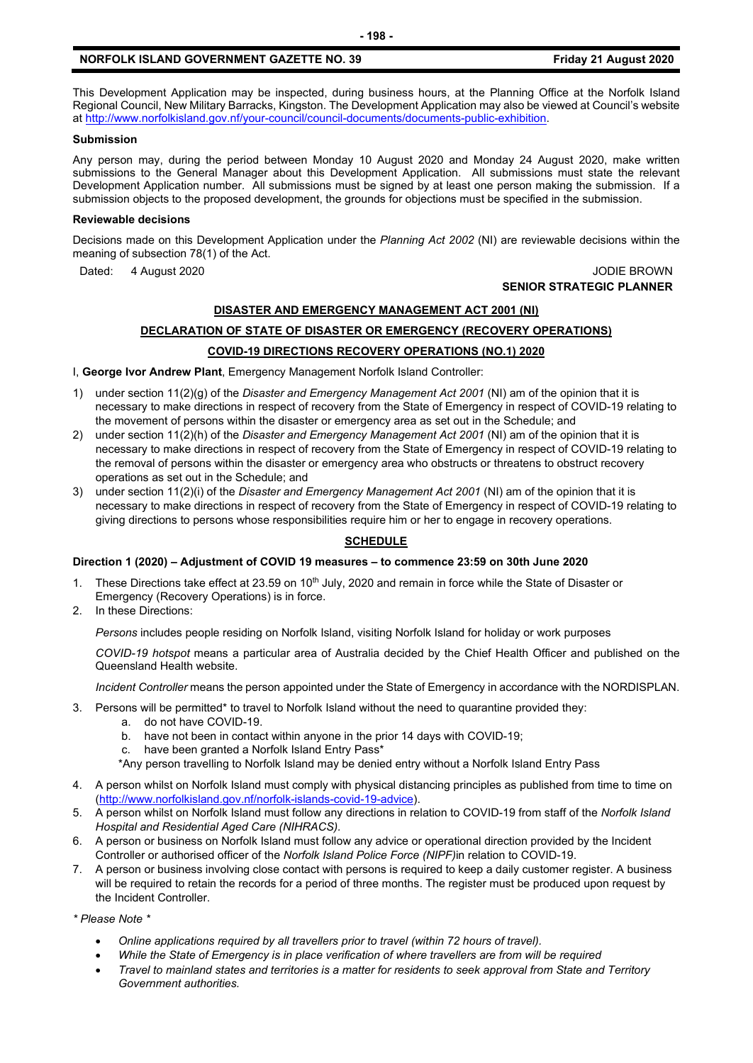## **NORFOLK ISLAND GOVERNMENT GAZETTE NO. 39 <b>Friday 21 August 2020**

This Development Application may be inspected, during business hours, at the Planning Office at the Norfolk Island Regional Council, New Military Barracks, Kingston. The Development Application may also be viewed at Council's website a[t http://www.norfolkisland.gov.nf/your-council/council-documents/documents-public-exhibition.](http://www.norfolkisland.gov.nf/your-council/council-documents/documents-public-exhibition)

## **Submission**

Any person may, during the period between Monday 10 August 2020 and Monday 24 August 2020, make written submissions to the General Manager about this Development Application. All submissions must state the relevant Development Application number. All submissions must be signed by at least one person making the submission. If a submission objects to the proposed development, the grounds for objections must be specified in the submission.

## **Reviewable decisions**

Decisions made on this Development Application under the *Planning Act 2002* (NI) are reviewable decisions within the meaning of subsection 78(1) of the Act.

## Dated: 4 August 2020 **JODIE BROWN SENIOR STRATEGIC PLANNER**

## **DISASTER AND EMERGENCY MANAGEMENT ACT 2001 (NI)**

## **DECLARATION OF STATE OF DISASTER OR EMERGENCY (RECOVERY OPERATIONS)**

## **COVID-19 DIRECTIONS RECOVERY OPERATIONS (NO.1) 2020**

I, **George Ivor Andrew Plant**, Emergency Management Norfolk Island Controller:

- 1) under section 11(2)(g) of the *Disaster and Emergency Management Act 2001* (NI) am of the opinion that it is necessary to make directions in respect of recovery from the State of Emergency in respect of COVID-19 relating to the movement of persons within the disaster or emergency area as set out in the Schedule; and
- 2) under section 11(2)(h) of the *Disaster and Emergency Management Act 2001* (NI) am of the opinion that it is necessary to make directions in respect of recovery from the State of Emergency in respect of COVID-19 relating to the removal of persons within the disaster or emergency area who obstructs or threatens to obstruct recovery operations as set out in the Schedule; and
- 3) under section 11(2)(i) of the *Disaster and Emergency Management Act 2001* (NI) am of the opinion that it is necessary to make directions in respect of recovery from the State of Emergency in respect of COVID-19 relating to giving directions to persons whose responsibilities require him or her to engage in recovery operations.

## **SCHEDULE**

## **Direction 1 (2020) – Adjustment of COVID 19 measures – to commence 23:59 on 30th June 2020**

- 1. These Directions take effect at 23.59 on 10<sup>th</sup> July, 2020 and remain in force while the State of Disaster or Emergency (Recovery Operations) is in force.
- 2. In these Directions:

*Persons* includes people residing on Norfolk Island, visiting Norfolk Island for holiday or work purposes

*COVID-19 hotspot* means a particular area of Australia decided by the Chief Health Officer and published on the Queensland Health website.

*Incident Controller* means the person appointed under the State of Emergency in accordance with the NORDISPLAN.

- 3. Persons will be permitted\* to travel to Norfolk Island without the need to quarantine provided they:
	- a. do not have COVID-19.
	- b. have not been in contact within anyone in the prior 14 days with COVID-19;
	- c. have been granted a Norfolk Island Entry Pass\*
	- \*Any person travelling to Norfolk Island may be denied entry without a Norfolk Island Entry Pass
- 4. A person whilst on Norfolk Island must comply with physical distancing principles as published from time to time on [\(http://www.norfolkisland.gov.nf/norfolk-islands-covid-19-advice\)](http://www.norfolkisland.gov.nf/norfolk-islands-covid-19-advice).
- 5. A person whilst on Norfolk Island must follow any directions in relation to COVID-19 from staff of the *Norfolk Island Hospital and Residential Aged Care (NIHRACS).*
- 6. A person or business on Norfolk Island must follow any advice or operational direction provided by the Incident Controller or authorised officer of the *Norfolk Island Police Force (NIPF)*in relation to COVID-19.
- 7. A person or business involving close contact with persons is required to keep a daily customer register. A business will be required to retain the records for a period of three months. The register must be produced upon request by the Incident Controller.

*\* Please Note \** 

- *Online applications required by all travellers prior to travel (within 72 hours of travel).*
- *While the State of Emergency is in place verification of where travellers are from will be required*
- *Travel to mainland states and territories is a matter for residents to seek approval from State and Territory Government authorities.*